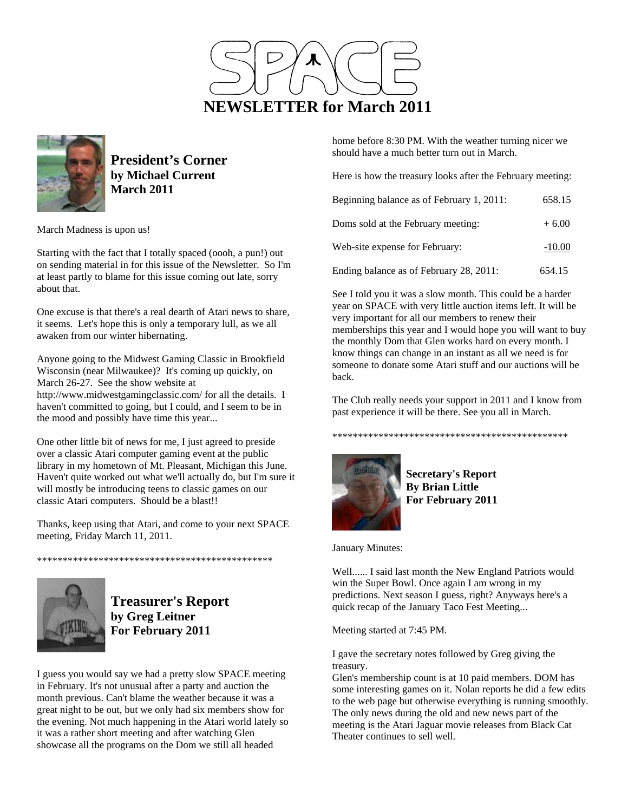



**President's Corner by Michael Current March 2011**

March Madness is upon us!

Starting with the fact that I totally spaced (oooh, a pun!) out on sending material in for this issue of the Newsletter. So I'm at least partly to blame for this issue coming out late, sorry about that.

One excuse is that there's a real dearth of Atari news to share, it seems. Let's hope this is only a temporary lull, as we all awaken from our winter hibernating.

Anyone going to the Midwest Gaming Classic in Brookfield Wisconsin (near Milwaukee)? It's coming up quickly, on March 26-27. See the show website at http://www.midwestgamingclassic.com/ for all the details. I haven't committed to going, but I could, and I seem to be in the mood and possibly have time this year...

One other little bit of news for me, I just agreed to preside over a classic Atari computer gaming event at the public library in my hometown of Mt. Pleasant, Michigan this June. Haven't quite worked out what we'll actually do, but I'm sure it will mostly be introducing teens to classic games on our classic Atari computers. Should be a blast!!

Thanks, keep using that Atari, and come to your next SPACE meeting, Friday March 11, 2011.

\*\*\*\*\*\*\*\*\*\*\*\*\*\*\*\*\*\*\*\*\*\*\*\*\*\*\*\*\*\*\*\*\*\*\*\*\*\*\*\*\*\*\*\*\*\*



**Treasurer's Report by Greg Leitner For February 2011** 

I guess you would say we had a pretty slow SPACE meeting in February. It's not unusual after a party and auction the month previous. Can't blame the weather because it was a great night to be out, but we only had six members show for the evening. Not much happening in the Atari world lately so it was a rather short meeting and after watching Glen showcase all the programs on the Dom we still all headed

home before 8:30 PM. With the weather turning nicer we should have a much better turn out in March.

Here is how the treasury looks after the February meeting:

| Beginning balance as of February 1, 2011: | 658.15   |
|-------------------------------------------|----------|
| Doms sold at the February meeting:        | $+6.00$  |
| Web-site expense for February:            | $-10.00$ |
| Ending balance as of February 28, 2011:   | 654.15   |

See I told you it was a slow month. This could be a harder year on SPACE with very little auction items left. It will be very important for all our members to renew their memberships this year and I would hope you will want to buy the monthly Dom that Glen works hard on every month. I know things can change in an instant as all we need is for someone to donate some Atari stuff and our auctions will be back.

The Club really needs your support in 2011 and I know from past experience it will be there. See you all in March.

\*\*\*\*\*\*\*\*\*\*\*\*\*\*\*\*\*\*\*\*\*\*\*\*\*\*\*\*\*\*\*\*\*\*\*\*\*\*\*\*\*\*\*\*\*\*



**Secretary's Report By Brian Little For February 2011** 

January Minutes:

Well...... I said last month the New England Patriots would win the Super Bowl. Once again I am wrong in my predictions. Next season I guess, right? Anyways here's a quick recap of the January Taco Fest Meeting...

Meeting started at 7:45 PM.

I gave the secretary notes followed by Greg giving the treasury.

Glen's membership count is at 10 paid members. DOM has some interesting games on it. Nolan reports he did a few edits to the web page but otherwise everything is running smoothly. The only news during the old and new news part of the meeting is the Atari Jaguar movie releases from Black Cat Theater continues to sell well.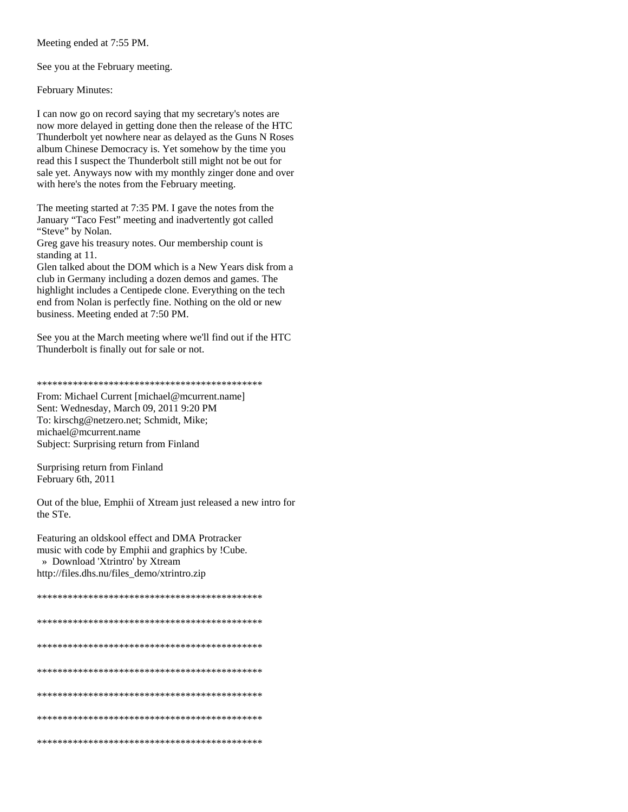Meeting ended at 7:55 PM.

See you at the February meeting.

February Minutes:

I can now go on record saying that my secretary's notes are now more delayed in getting done then the release of the HTC Thunderbolt yet nowhere near as delayed as the Guns N Roses album Chinese Democracy is. Yet somehow by the time you read this I suspect the Thunderbolt still might not be out for sale yet. Anyways now with my monthly zinger done and over with here's the notes from the February meeting.

The meeting started at 7:35 PM. I gave the notes from the January "Taco Fest" meeting and inadvertently got called "Steve" by Nolan.

Greg gave his treasury notes. Our membership count is standing at 11.

Glen talked about the DOM which is a New Years disk from a club in Germany including a dozen demos and games. The highlight includes a Centipede clone. Everything on the tech end from Nolan is perfectly fine. Nothing on the old or new business. Meeting ended at 7:50 PM.

See you at the March meeting where we'll find out if the HTC Thunderbolt is finally out for sale or not.

\*\*\*\*\*\*\*\*\*\*\*\*\*\*\*\*\*\*\*\*\*\*\*\*\*\*\*\*\*\*\*\*\*\*\*\*\*\*\*\*\*\*\*\*

From: Michael Current [michael@mcurrent.name] Sent: Wednesday, March 09, 2011 9:20 PM To: kirschg@netzero.net; Schmidt, Mike; michael@mcurrent.name Subject: Surprising return from Finland

Surprising return from Finland February 6th, 2011

Out of the blue, Emphii of Xtream just released a new intro for the STe.

Featuring an oldskool effect and DMA Protracker music with code by Emphii and graphics by !Cube. » Download 'Xtrintro' by Xtream http://files.dhs.nu/files\_demo/xtrintro.zip

```
******************************************** 
******************************************** 
******************************************** 
******************************************** 
******************************************** 
******************************************** 
********************************************
```